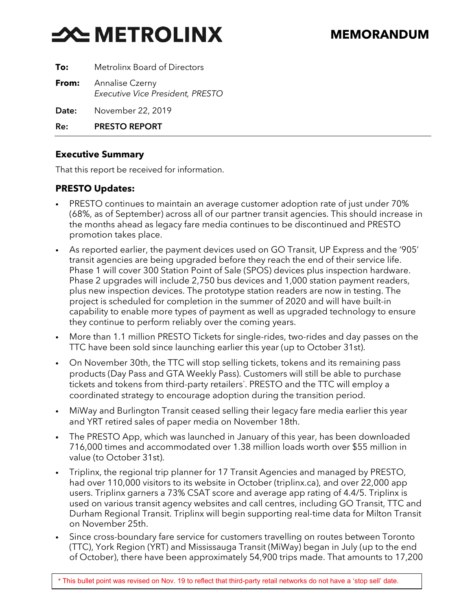# **X METROLINX**

| To:   | Metrolinx Board of Directors                               |
|-------|------------------------------------------------------------|
| From: | <b>Annalise Czerny</b><br>Executive Vice President, PRESTO |
| Date: | November 22, 2019                                          |

Re: PRESTO REPORT

#### **Executive Summary**

That this report be received for information.

#### **PRESTO Updates:**

- PRESTO continues to maintain an average customer adoption rate of just under 70% (68%, as of September) across all of our partner transit agencies. This should increase in the months ahead as legacy fare media continues to be discontinued and PRESTO promotion takes place.
- As reported earlier, the payment devices used on GO Transit, UP Express and the '905' transit agencies are being upgraded before they reach the end of their service life. Phase 1 will cover 300 Station Point of Sale (SPOS) devices plus inspection hardware. Phase 2 upgrades will include 2,750 bus devices and 1,000 station payment readers, plus new inspection devices. The prototype station readers are now in testing. The project is scheduled for completion in the summer of 2020 and will have built-in capability to enable more types of payment as well as upgraded technology to ensure they continue to perform reliably over the coming years.
- More than 1.1 million PRESTO Tickets for single-rides, two-rides and day passes on the TTC have been sold since launching earlier this year (up to October 31st).
- On November 30th, the TTC will stop selling tickets, tokens and its remaining pass products (Day Pass and GTA Weekly Pass). Customers will still be able to purchase tickets and tokens from third-party retailers\* . PRESTO and the TTC will employ a coordinated strategy to encourage adoption during the transition period.
- MiWay and Burlington Transit ceased selling their legacy fare media earlier this year and YRT retired sales of paper media on November 18th.
- The PRESTO App, which was launched in January of this year, has been downloaded 716,000 times and accommodated over 1.38 million loads worth over \$55 million in value (to October 31st).
- Triplinx, the regional trip planner for 17 Transit Agencies and managed by PRESTO, had over 110,000 visitors to its website in October (triplinx.ca), and over 22,000 app users. Triplinx garners a 73% CSAT score and average app rating of 4.4/5. Triplinx is used on various transit agency websites and call centres, including GO Transit, TTC and Durham Regional Transit. Triplinx will begin supporting real-time data for Milton Transit on November 25th.
- Since cross-boundary fare service for customers travelling on routes between Toronto (TTC), York Region (YRT) and Mississauga Transit (MiWay) began in July (up to the end of October), there have been approximately 54,900 trips made. That amounts to 17,200

*\** This bullet point was revised on Nov. 19 to reflect that third-party retail networks do not have a 'stop sell' date.